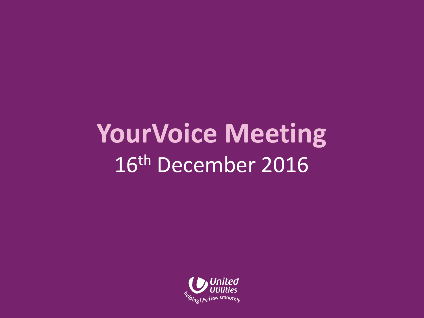## **YourVoice Meeting** 16th December 2016